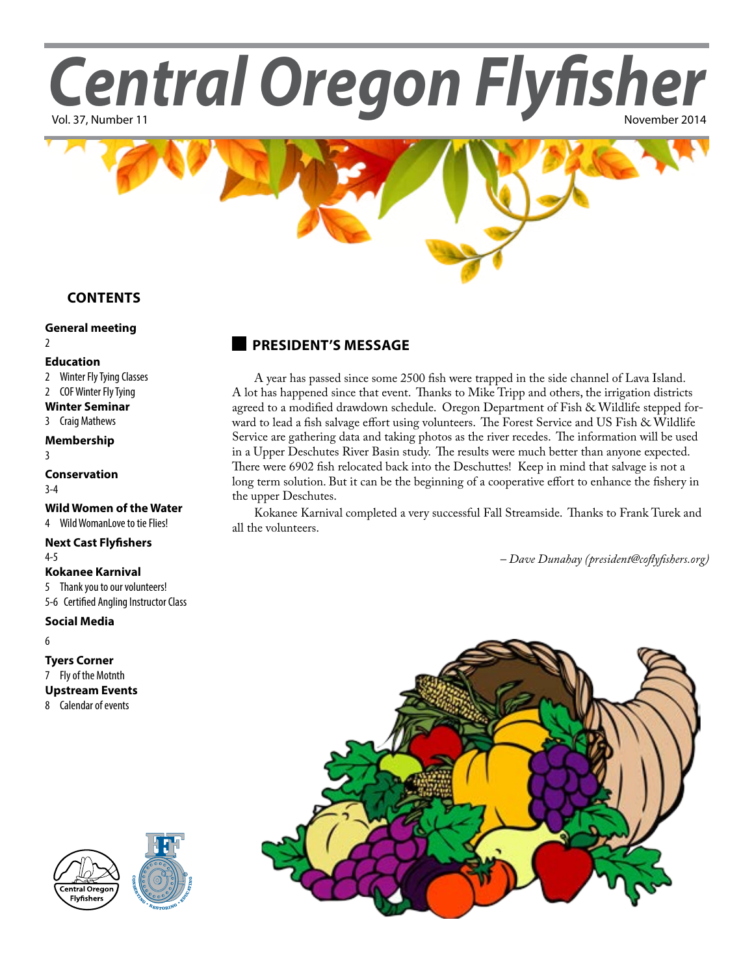Central Oregon Flyfisher



## **Contents**

#### **[General meeting](#page-1-0)**  $\overline{2}$  $\overline{2}$  $\overline{2}$

#### **Education**

- 2 Winter Fly Tying Classes
- 2 COF Winter Fly Tying
- **Winter Seminar**
- 3 Craig Mathews

#### **Membership**

3

**[Conservation](#page-2-0)** [3](#page-2-0)-4

#### **[Wild Women of the Water](#page-4-0)**

#### 4 [Wild WomanLove to tie Flies!](#page-4-0)

#### **[Next Cast Flyfishers](#page-4-0)**

4-[5](#page-5-0)

### **Kokanee Karnival**

5 Thank you to our volunteers!

5-6 Certified Angling Instructor Class

### **Social Media**

6

### **Tyers Corner**

7 Fly of the Motnth

### **[Upstream Events](#page-3-0)**

8 [Calendar of events](#page-3-0)





# **president's message**

A year has passed since some 2500 fish were trapped in the side channel of Lava Island. A lot has happened since that event. Thanks to Mike Tripp and others, the irrigation districts agreed to a modified drawdown schedule. Oregon Department of Fish & Wildlife stepped forward to lead a fish salvage effort using volunteers. The Forest Service and US Fish & Wildlife Service are gathering data and taking photos as the river recedes. The information will be used in a Upper Deschutes River Basin study. The results were much better than anyone expected. There were 6902 fish relocated back into the Deschuttes! Keep in mind that salvage is not a long term solution. But it can be the beginning of a cooperative effort to enhance the fishery in the upper Deschutes.

Kokanee Karnival completed a very successful Fall Streamside. Thanks to Frank Turek and all the volunteers.

*– Dave Dunahay [\(president@coflyfishers.org\)](mailto:president@coflyfishers.org)*

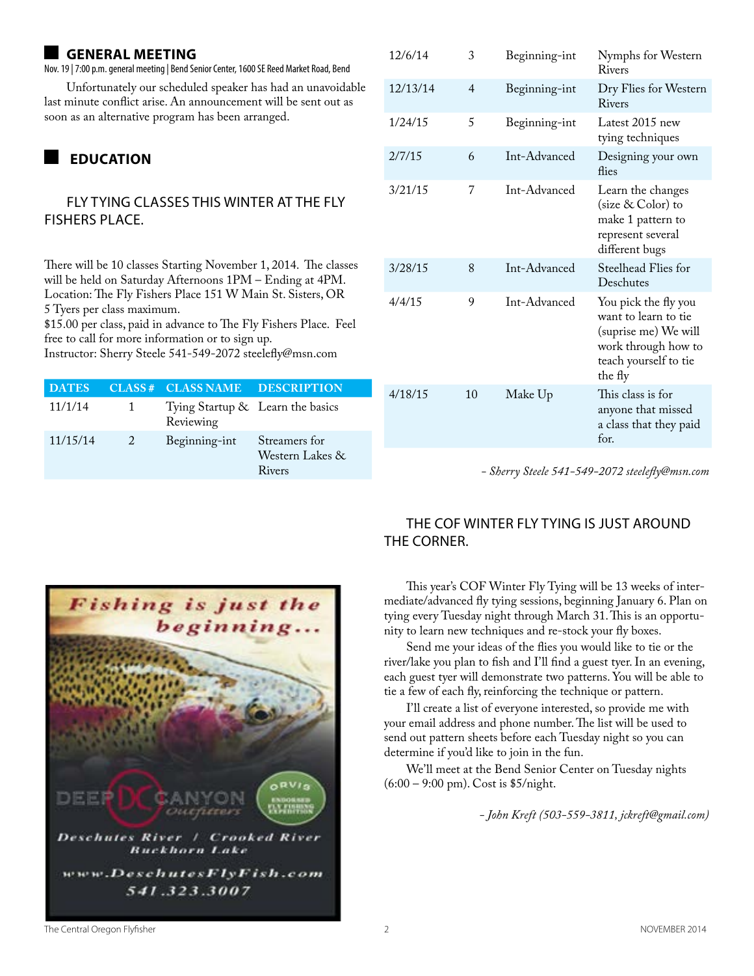### <span id="page-1-0"></span>**general meeting**

Nov. 19 | 7:00 p.m. general meeting | Bend Senior Center, 1600 SE Reed Market Road, Bend

Unfortunately our scheduled speaker has had an unavoidable last minute conflict arise. An announcement will be sent out as soon as an alternative program has been arranged.

# **education**

#### Fly Tying Classes this winter at The Fly Fishers Place.

There will be 10 classes Starting November 1, 2014. The classes will be held on Saturday Afternoons 1PM – Ending at 4PM. Location: The Fly Fishers Place 151 W Main St. Sisters, OR 5 Tyers per class maximum.

\$15.00 per class, paid in advance to The Fly Fishers Place. Feel free to call for more information or to sign up.

Instructor: Sherry Steele 541-549-2072 steelefly@msn.com

| <b>DATES</b> |              | CLASS# CLASS NAME DESCRIPTION                 |                                            |
|--------------|--------------|-----------------------------------------------|--------------------------------------------|
| 11/1/14      | $\mathbf{1}$ | Tying Startup & Learn the basics<br>Reviewing |                                            |
| 11/15/14     | $\sim$ 2     | Beginning-int                                 | Streamers for<br>Western Lakes &<br>Rivers |

| 12/6/14  | 3  | Beginning-int | Nymphs for Western<br>Rivers                                                                                                    |  |
|----------|----|---------------|---------------------------------------------------------------------------------------------------------------------------------|--|
| 12/13/14 | 4  | Beginning-int | Dry Flies for Western<br>Rivers                                                                                                 |  |
| 1/24/15  | 5  | Beginning-int | Latest 2015 new<br>tying techniques                                                                                             |  |
| 2/7/15   | 6  | Int-Advanced  | Designing your own<br>flies                                                                                                     |  |
| 3/21/15  | 7  | Int-Advanced  | Learn the changes<br>(size & Color) to<br>make 1 pattern to<br>represent several<br>different bugs                              |  |
| 3/28/15  | 8  | Int-Advanced  | Steelhead Flies for<br>Deschutes                                                                                                |  |
| 4/4/15   | 9  | Int-Advanced  | You pick the fly you<br>want to learn to tie<br>(suprise me) We will<br>work through how to<br>teach yourself to tie<br>the fly |  |
| 4/18/15  | 10 | Make Up       | This class is for<br>anyone that missed<br>a class that they paid<br>for.                                                       |  |

*- Sherry Steele 541-549-2072 steelefly@msn.com*



# The COF Winter Fly Tying is just around THE CORNER.

This year's COF Winter Fly Tying will be 13 weeks of intermediate/advanced fly tying sessions, beginning January 6. Plan on tying every Tuesday night through March 31. This is an opportunity to learn new techniques and re-stock your fly boxes.

Send me your ideas of the flies you would like to tie or the river/lake you plan to fish and I'll find a guest tyer. In an evening, each guest tyer will demonstrate two patterns. You will be able to tie a few of each fly, reinforcing the technique or pattern.

I'll create a list of everyone interested, so provide me with your email address and phone number. The list will be used to send out pattern sheets before each Tuesday night so you can determine if you'd like to join in the fun.

We'll meet at the Bend Senior Center on Tuesday nights (6:00 – 9:00 pm). Cost is \$5/night.

*- John Kreft (503-559-3811, jckreft@gmail.com)*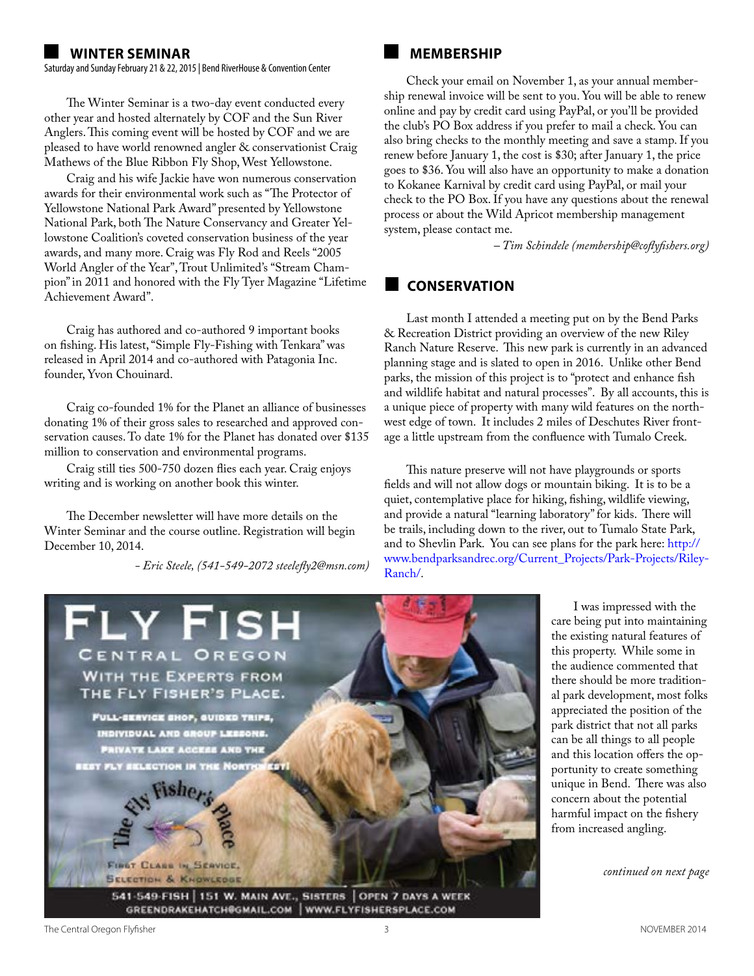#### <span id="page-2-0"></span>**Winter seminar**

Saturday and Sunday February 21 & 22, 2015 | Bend RiverHouse & Convention Center

The Winter Seminar is a two-day event conducted every other year and hosted alternately by COF and the Sun River Anglers. This coming event will be hosted by COF and we are pleased to have world renowned angler & conservationist Craig Mathews of the Blue Ribbon Fly Shop, West Yellowstone.

Craig and his wife Jackie have won numerous conservation awards for their environmental work such as "The Protector of Yellowstone National Park Award" presented by Yellowstone National Park, both The Nature Conservancy and Greater Yellowstone Coalition's coveted conservation business of the year awards, and many more. Craig was Fly Rod and Reels "2005 World Angler of the Year", Trout Unlimited's "Stream Champion" in 2011 and honored with the Fly Tyer Magazine "Lifetime Achievement Award".

Craig has authored and co-authored 9 important books on fishing. His latest, "Simple Fly-Fishing with Tenkara" was released in April 2014 and co-authored with Patagonia Inc. founder, Yvon Chouinard.

Craig co-founded 1% for the Planet an alliance of businesses donating 1% of their gross sales to researched and approved conservation causes. To date 1% for the Planet has donated over \$135 million to conservation and environmental programs.

Craig still ties 500-750 dozen flies each year. Craig enjoys writing and is working on another book this winter.

The December newsletter will have more details on the Winter Seminar and the course outline. Registration will begin December 10, 2014.

*- Eric Steele, (541-549-2072 steelefly2@msn.com)*

# **membership**

Check your email on November 1, as your annual membership renewal invoice will be sent to you. You will be able to renew online and pay by credit card using PayPal, or you'll be provided the club's PO Box address if you prefer to mail a check. You can also bring checks to the monthly meeting and save a stamp. If you renew before January 1, the cost is \$30; after January 1, the price goes to \$36. You will also have an opportunity to make a donation to Kokanee Karnival by credit card using PayPal, or mail your check to the PO Box. If you have any questions about the renewal process or about the Wild Apricot membership management system, please contact me.

*– Tim Schindele ([membership@coflyfishers.org\)](mailto:membership@coflyfishers.org)* 

# **Conservation**

Last month I attended a meeting put on by the Bend Parks & Recreation District providing an overview of the new Riley Ranch Nature Reserve. This new park is currently in an advanced planning stage and is slated to open in 2016. Unlike other Bend parks, the mission of this project is to "protect and enhance fish and wildlife habitat and natural processes". By all accounts, this is a unique piece of property with many wild features on the northwest edge of town. It includes 2 miles of Deschutes River frontage a little upstream from the confluence with Tumalo Creek.

This nature preserve will not have playgrounds or sports fields and will not allow dogs or mountain biking. It is to be a quiet, contemplative place for hiking, fishing, wildlife viewing, and provide a natural "learning laboratory" for kids. There will be trails, including down to the river, out to Tumalo State Park, and to Shevlin Park. You can see plans for the park here: [http://](http://www.bendparksandrec.org/Current_Projects/Park-Projects/Riley-Ranch/) [www.bendparksandrec.org/Current\\_Projects/Park-Projects/Riley-](http://www.bendparksandrec.org/Current_Projects/Park-Projects/Riley-Ranch/)[Ranch/.](http://www.bendparksandrec.org/Current_Projects/Park-Projects/Riley-Ranch/)



I was impressed with the care being put into maintaining the existing natural features of this property. While some in the audience commented that there should be more traditional park development, most folks appreciated the position of the park district that not all parks can be all things to all people and this location offers the opportunity to create something unique in Bend. There was also concern about the potential harmful impact on the fishery from increased angling.

*continued on next page*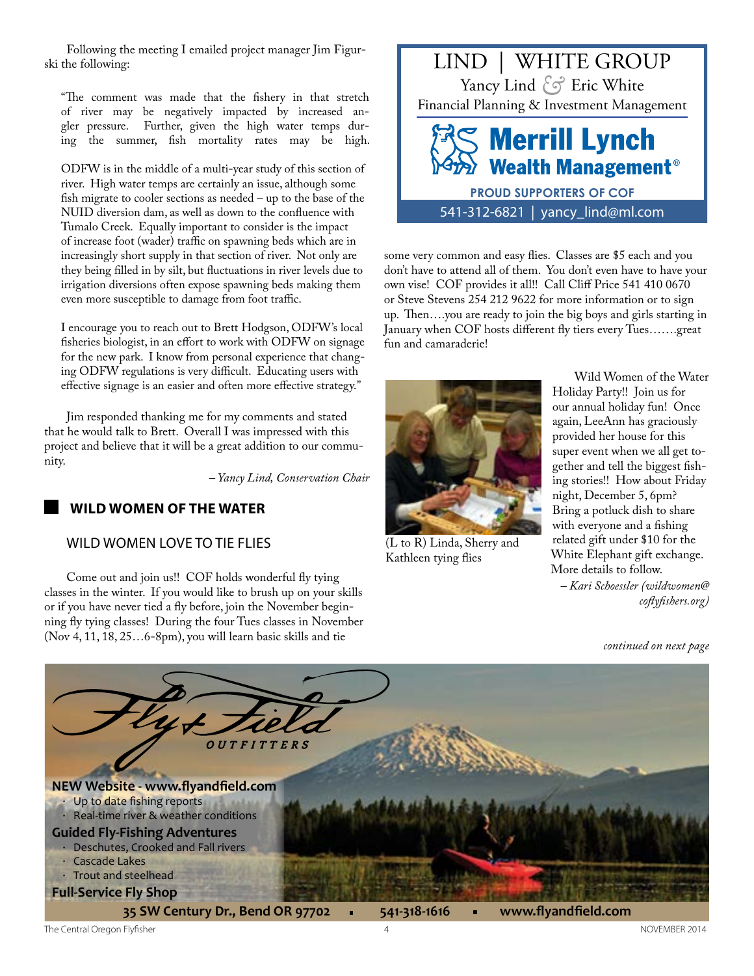<span id="page-3-0"></span>Following the meeting I emailed project manager Jim Figurski the following:

"The comment was made that the fishery in that stretch of river may be negatively impacted by increased angler pressure. Further, given the high water temps during the summer, fish mortality rates may be high.

ODFW is in the middle of a multi-year study of this section of river. High water temps are certainly an issue, although some fish migrate to cooler sections as needed – up to the base of the NUID diversion dam, as well as down to the confluence with Tumalo Creek. Equally important to consider is the impact of increase foot (wader) traffic on spawning beds which are in increasingly short supply in that section of river. Not only are they being filled in by silt, but fluctuations in river levels due to irrigation diversions often expose spawning beds making them even more susceptible to damage from foot traffic.

I encourage you to reach out to Brett Hodgson, ODFW's local fisheries biologist, in an effort to work with ODFW on signage for the new park. I know from personal experience that changing ODFW regulations is very difficult. Educating users with effective signage is an easier and often more effective strategy."

Jim responded thanking me for my comments and stated that he would talk to Brett. Overall I was impressed with this project and believe that it will be a great addition to our community.

*– Yancy Lind, Conservation Chair*

## **wild women of the water**

#### WILD WOMEN LOVE TO TIE FLIES

Come out and join us!! COF holds wonderful fly tying classes in the winter. If you would like to brush up on your skills or if you have never tied a fly before, join the November beginning fly tying classes! During the four Tues classes in November (Nov 4, 11, 18, 25…6-8pm), you will learn basic skills and tie



some very common and easy flies. Classes are \$5 each and you don't have to attend all of them. You don't even have to have your own vise! COF provides it all!! Call Cliff Price 541 410 0670 or Steve Stevens 254 212 9622 for more information or to sign up. Then….you are ready to join the big boys and girls starting in January when COF hosts different fly tiers every Tues…….great fun and camaraderie!



(L to R) Linda, Sherry and Kathleen tying flies

Wild Women of the Water Holiday Party!! Join us for our annual holiday fun! Once again, LeeAnn has graciously provided her house for this super event when we all get together and tell the biggest fishing stories!! How about Friday night, December 5, 6pm? Bring a potluck dish to share with everyone and a fishing related gift under \$10 for the White Elephant gift exchange. More details to follow.

*– Kari Schoessler [\(wildwomen@](mailto:wildwomen@coflyfishers.org) [coflyfishers.org\)](mailto:wildwomen@coflyfishers.org)*

*continued on next page*

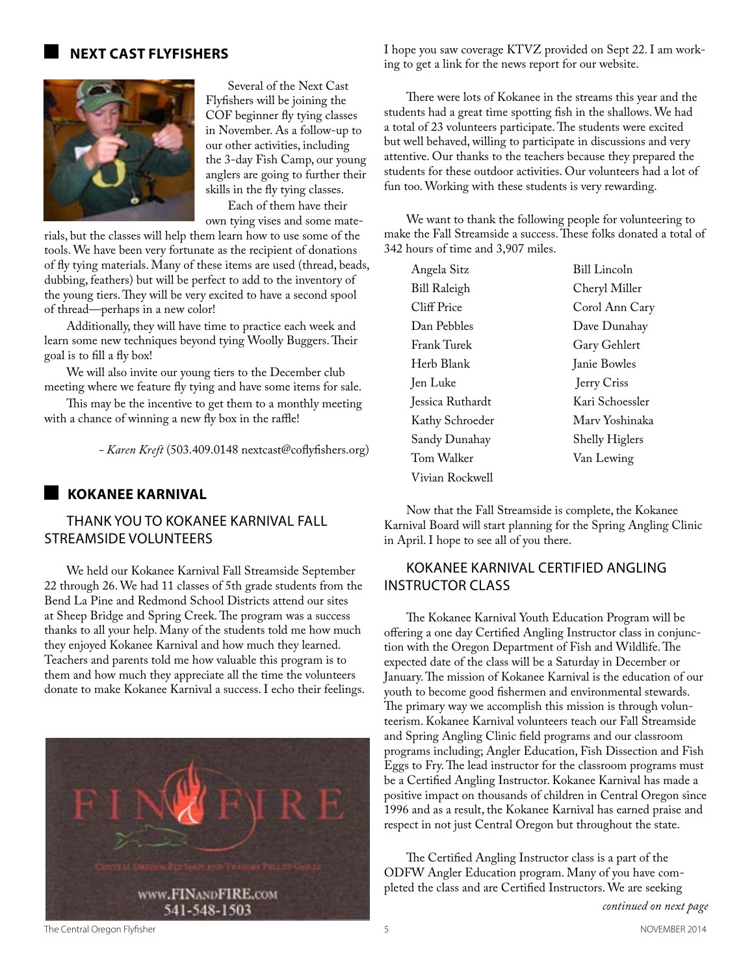#### <span id="page-4-0"></span>**next cast flyfishers**



Several of the Next Cast Flyfishers will be joining the COF beginner fly tying classes in November. As a follow-up to our other activities, including the 3-day Fish Camp, our young anglers are going to further their skills in the fly tying classes. Each of them have their

own tying vises and some materials, but the classes will help them learn how to use some of the

tools. We have been very fortunate as the recipient of donations of fly tying materials. Many of these items are used (thread, beads, dubbing, feathers) but will be perfect to add to the inventory of the young tiers. They will be very excited to have a second spool of thread—perhaps in a new color!

Additionally, they will have time to practice each week and learn some new techniques beyond tying Woolly Buggers. Their goal is to fill a fly box!

We will also invite our young tiers to the December club meeting where we feature fly tying and have some items for sale.

This may be the incentive to get them to a monthly meeting with a chance of winning a new fly box in the raffle!

*- Karen Kreft* (503.409.0148 nextcast@coflyfishers.org)

#### **Kokanee Karnival**

#### THANK YOU TO KOKANEE KARNIVAL FALL STREAMSIDE VOLUNTEERS

We held our Kokanee Karnival Fall Streamside September 22 through 26. We had 11 classes of 5th grade students from the Bend La Pine and Redmond School Districts attend our sites at Sheep Bridge and Spring Creek. The program was a success thanks to all your help. Many of the students told me how much they enjoyed Kokanee Karnival and how much they learned. Teachers and parents told me how valuable this program is to them and how much they appreciate all the time the volunteers donate to make Kokanee Karnival a success. I echo their feelings.



I hope you saw coverage KTVZ provided on Sept 22. I am working to get a link for the news report for our website.

There were lots of Kokanee in the streams this year and the students had a great time spotting fish in the shallows. We had a total of 23 volunteers participate. The students were excited but well behaved, willing to participate in discussions and very attentive. Our thanks to the teachers because they prepared the students for these outdoor activities. Our volunteers had a lot of fun too. Working with these students is very rewarding.

We want to thank the following people for volunteering to make the Fall Streamside a success. These folks donated a total of 342 hours of time and 3,907 miles.

| Angela Sitz      | Bill Lincoln          |  |
|------------------|-----------------------|--|
| Bill Raleigh     | Cheryl Miller         |  |
| Cliff Price      | Corol Ann Cary        |  |
| Dan Pebbles      | Dave Dunahay          |  |
| Frank Turek      | Gary Gehlert          |  |
| Herb Blank       | Janie Bowles          |  |
| Jen Luke         | Jerry Criss           |  |
| Jessica Ruthardt | Kari Schoessler       |  |
| Kathy Schroeder  | Mary Yoshinaka        |  |
| Sandy Dunahay    | <b>Shelly Higlers</b> |  |
| Tom Walker       | Van Lewing            |  |
| Vivian Rockwell  |                       |  |

Now that the Fall Streamside is complete, the Kokanee Karnival Board will start planning for the Spring Angling Clinic in April. I hope to see all of you there.

### KOKANEE KARNIVAL CERTIFIED ANGLING INSTRUCTOR CLASS

The Kokanee Karnival Youth Education Program will be offering a one day Certified Angling Instructor class in conjunction with the Oregon Department of Fish and Wildlife. The expected date of the class will be a Saturday in December or January. The mission of Kokanee Karnival is the education of our youth to become good fishermen and environmental stewards. The primary way we accomplish this mission is through volunteerism. Kokanee Karnival volunteers teach our Fall Streamside and Spring Angling Clinic field programs and our classroom programs including; Angler Education, Fish Dissection and Fish Eggs to Fry. The lead instructor for the classroom programs must be a Certified Angling Instructor. Kokanee Karnival has made a positive impact on thousands of children in Central Oregon since 1996 and as a result, the Kokanee Karnival has earned praise and respect in not just Central Oregon but throughout the state.

The Certified Angling Instructor class is a part of the ODFW Angler Education program. Many of you have completed the class and are Certified Instructors. We are seeking

*continued on next page*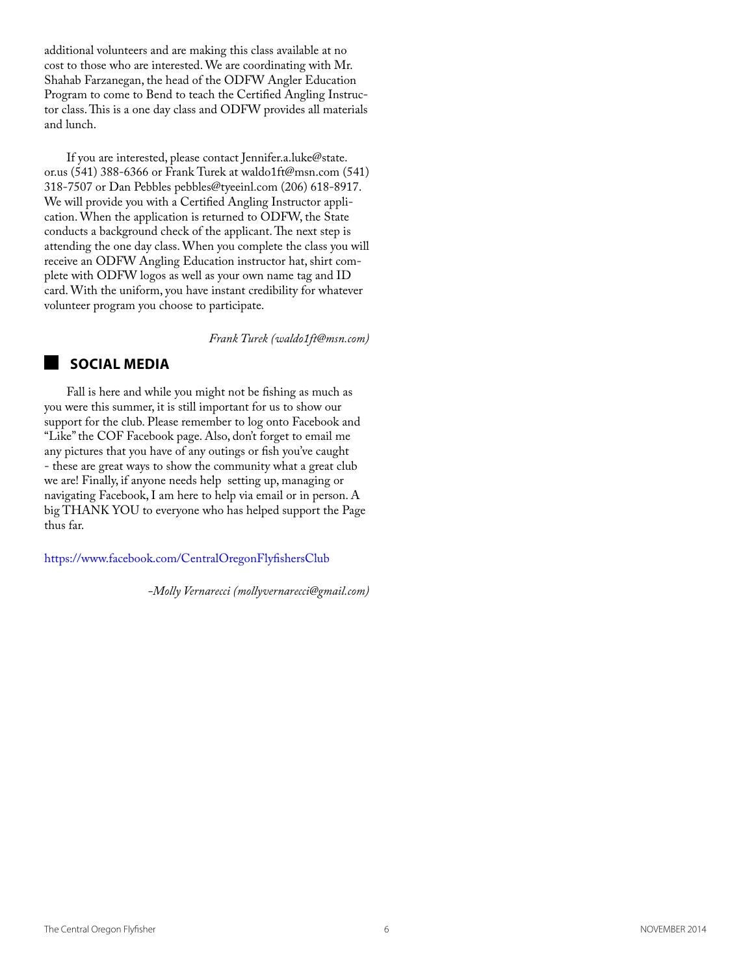<span id="page-5-0"></span>additional volunteers and are making this class available at no cost to those who are interested. We are coordinating with Mr. Shahab Farzanegan, the head of the ODFW Angler Education Program to come to Bend to teach the Certified Angling Instructor class. This is a one day class and ODFW provides all materials and lunch.

If you are interested, please contact Jennifer.a.luke@state. or.us (541) 388-6366 or Frank Turek at waldo1ft@msn.com (541) 318-7507 or Dan Pebbles pebbles@tyeeinl.com (206) 618-8917. We will provide you with a Certified Angling Instructor application. When the application is returned to ODFW, the State conducts a background check of the applicant. The next step is attending the one day class. When you complete the class you will receive an ODFW Angling Education instructor hat, shirt complete with ODFW logos as well as your own name tag and ID card. With the uniform, you have instant credibility for whatever volunteer program you choose to participate.

*Frank Turek (waldo1ft@msn.com)*

### **Social Media**

Fall is here and while you might not be fishing as much as you were this summer, it is still important for us to show our support for the club. Please remember to log onto Facebook and "Like" the COF Facebook page. Also, don't forget to email me any pictures that you have of any outings or fish you've caught - these are great ways to show the community what a great club we are! Finally, if anyone needs help setting up, managing or navigating Facebook, I am here to help via email or in person. A big THANK YOU to everyone who has helped support the Page thus far.

https://www.facebook.com/CentralOregonFlyfishersClub

*-Molly Vernarecci (mollyvernarecci@gmail.com)*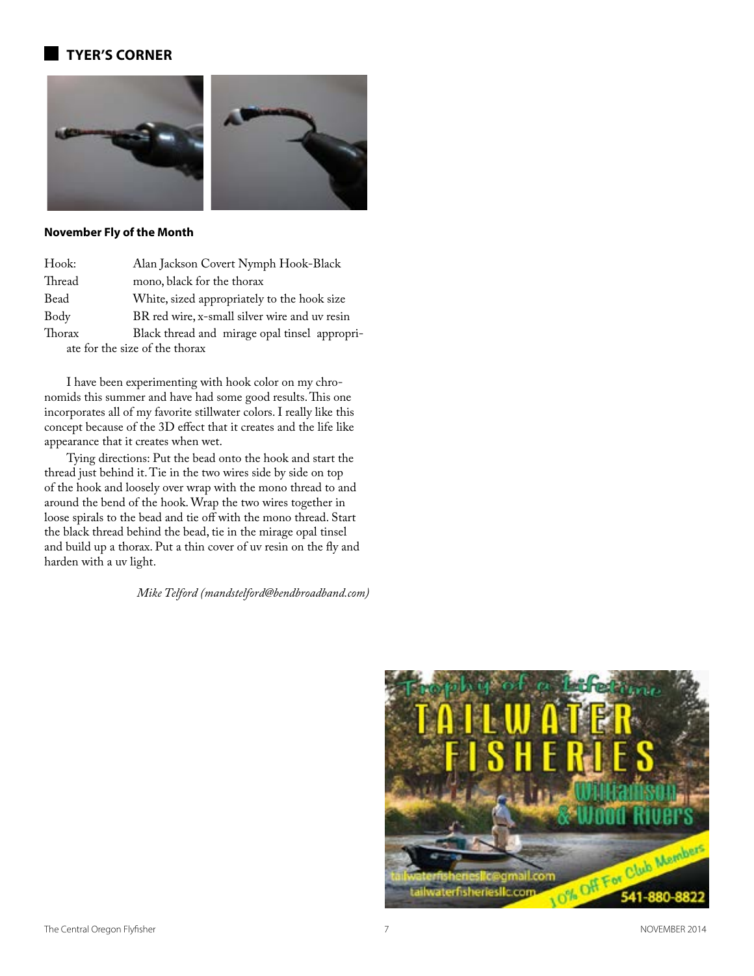## **tyer's corner**



#### **November Fly of the Month**

| Hook:                          | Alan Jackson Covert Nymph Hook-Black          |  |  |
|--------------------------------|-----------------------------------------------|--|--|
| Thread                         | mono, black for the thorax                    |  |  |
| Bead                           | White, sized appropriately to the hook size   |  |  |
| Body                           | BR red wire, x-small silver wire and uv resin |  |  |
| Thorax                         | Black thread and mirage opal tinsel appropri- |  |  |
| ate for the size of the thorax |                                               |  |  |

I have been experimenting with hook color on my chronomids this summer and have had some good results. This one incorporates all of my favorite stillwater colors. I really like this concept because of the 3D effect that it creates and the life like appearance that it creates when wet.

Tying directions: Put the bead onto the hook and start the thread just behind it. Tie in the two wires side by side on top of the hook and loosely over wrap with the mono thread to and around the bend of the hook. Wrap the two wires together in loose spirals to the bead and tie off with the mono thread. Start the black thread behind the bead, tie in the mirage opal tinsel and build up a thorax. Put a thin cover of uv resin on the fly and harden with a uv light.

*Mike Telford (mandstelford@bendbroadband.com)*